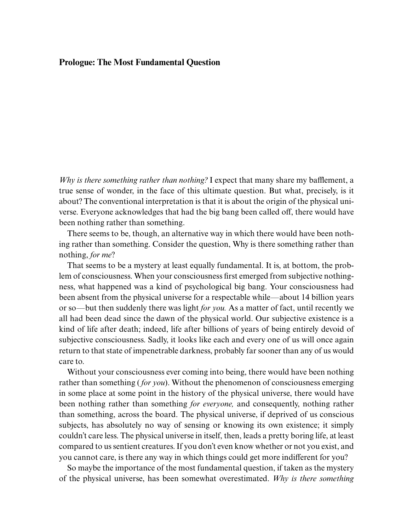## **Prologue: The Most Fundamental Question**

*Why is there something rather than nothing?* I expect that many share my bafflement, a true sense of wonder, in the face of this ultimate question. But what, precisely, is it about? The conventional interpretation is that it is about the origin of the physical universe. Everyone acknowledges that had the big bang been called off, there would have been nothing rather than something.

There seems to be, though, an alternative way in which there would have been nothing rather than something. Consider the question, Why is there something rather than nothing, *for me*?

That seems to be a mystery at least equally fundamental. It is, at bottom, the problem of consciousness. When your consciousness first emerged from subjective nothingness, what happened was a kind of psychological big bang. Your consciousness had been absent from the physical universe for a respectable while—about 14 billion years or so—but then suddenly there was light *for you.* As a matter of fact, until recently we all had been dead since the dawn of the physical world. Our subjective existence is a [kind of life after death; indeed, life after billions of years of being entirely devoid of](#page--1-0) subjective consciousness. Sadly, it looks like each and every one of us will once again return to that state of impenetrable darkness, probably far sooner than any of us would care to.

Without your consciousness ever coming into being, there would have been nothing rather than something ( *for you*). Without the phenomenon of consciousness emerging in some place at some point in the history of the physical universe, there would have been nothing rather than something *for everyone,* and consequently, nothing rather than something, across the board. The physical universe, if deprived of us conscious subjects, has absolutely no way of sensing or knowing its own existence; it simply couldn't care less. The physical universe in itself, then, leads a pretty boring life, at least compared to us sentient creatures. If you don't even know whether or not you exist, and you cannot care, is there any way in which things could get more indifferent for you?

So maybe the importance of the most fundamental question, if taken as the mystery of the physical universe, has been somewhat overestimated. *Why is there something*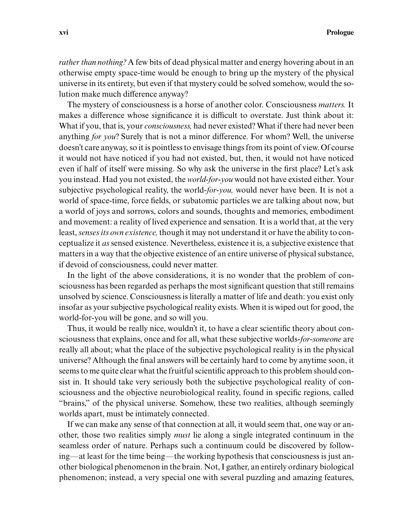*rather than nothing?* A few bits of dead physical matter and energy hovering about in an otherwise empty space-time would be enough to bring up the mystery of the physical universe in its entirety, but even if that mystery could be solved somehow, would the solution make much difference anyway?

The mystery of consciousness is a horse of another color. Consciousness *matters.* It makes a difference whose significance it is difficult to overstate. Just think about it: What if you, that is, your *consciousness,* had never existed? What if there had never been anything *for you*? Surely that is not a minor difference. For whom? Well, the universe doesn't care anyway, so it is pointless to envisage things from its point of view. Of course it would not have noticed if you had not existed, but, then, it would not have noticed even if half of itself were missing. So why ask the universe in the first place? Let's ask you instead. Had you not existed, the *world-for-you* would not have existed either. Your subjective psychological reality, the world-*for-you,* would never have been. It is not a world of space-time, force fields, or subatomic particles we are talking about now, but a world of joys and sorrows, colors and sounds, thoughts and memories, embodiment and movement: a reality of lived experience and sensation. It is a world that, at the very least, *senses its own existence,* though it may not understand it or have the ability to conceptualize it *as* sensed existence. Nevertheless, existence it is, a subjective existence that matters in a way that the objective existence of an entire universe of physical substance, if devoid of consciousness, could never matter.

In the light of the above considerations, it is no wonder that the problem of consciousness has been regarded as perhaps the most significant question that still remains unsolved by science. Consciousness is literally a matter of life and death: you exist only insofar as your subjective psychological reality exists. When it is wiped out for good, the world-for-you will be gone, and so will you.

Thus, it would be really nice, wouldn't it, to have a clear scientific theory about consciousness that explains, once and for all, what these subjective worlds-*for-someone* are really all about; what the place of the subjective psychological reality is in the physical universe? Although the final answers will be certainly hard to come by anytime soon, it seems to me quite clear what the fruitful scientific approach to this problem should consist in. It should take very seriously both the subjective psychological reality of consciousness and the objective neurobiological reality, found in specific regions, called "brains," of the physical universe. Somehow, these two realities, although seemingly worlds apart, must be intimately connected.

If we can make any sense of that connection at all, it would seem that, one way or another, those two realities simply *must* lie along a single integrated continuum in the seamless order of nature. Perhaps such a continuum could be discovered by following—at least for the time being—the working hypothesis that consciousness is just another biological phenomenon in the brain. Not, I gather, an entirely ordinary biological phenomenon; instead, a very special one with several puzzling and amazing features,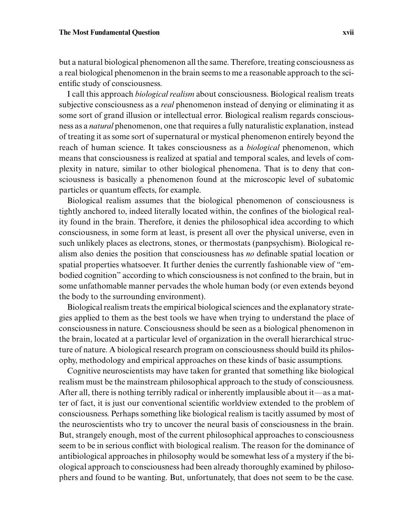but a natural biological phenomenon all the same. Therefore, treating consciousness as a real biological phenomenon in the brain seems to me a reasonable approach to the scientific study of consciousness.

I call this approach *biological realism* about consciousness. Biological realism treats subjective consciousness as a *real* phenomenon instead of denying or eliminating it as some sort of grand illusion or intellectual error. Biological realism regards consciousness as a *natural* phenomenon, one that requires a fully naturalistic explanation, instead of treating it as some sort of supernatural or mystical phenomenon entirely beyond the reach of human science. It takes consciousness as a *biological* phenomenon, which means that consciousness is realized at spatial and temporal scales, and levels of complexity in nature, similar to other biological phenomena. That is to deny that consciousness is basically a phenomenon found at the microscopic level of subatomic particles or quantum effects, for example.

Biological realism assumes that the biological phenomenon of consciousness is tightly anchored to, indeed literally located within, the confines of the biological reality found in the brain. Therefore, it denies the philosophical idea according to which consciousness, in some form at least, is present all over the physical universe, even in such unlikely places as electrons, stones, or thermostats (panpsychism). Biological realism also denies the position that consciousness has *no* definable spatial location or spatial properties whatsoever. It further denies the currently fashionable view of "embodied cognition" according to which consciousness is not confined to the brain, but in some unfathomable manner pervades the whole human body (or even extends beyond the body to the surrounding environment).

Biological realism treats the empirical biological sciences and the explanatory strategies applied to them as the best tools we have when trying to understand the place of consciousness in nature. Consciousness should be seen as a biological phenomenon in the brain, located at a particular level of organization in the overall hierarchical structure of nature. A biological research program on consciousness should build its philosophy, methodology and empirical approaches on these kinds of basic assumptions.

Cognitive neuroscientists may have taken for granted that something like biological realism must be the mainstream philosophical approach to the study of consciousness. After all, there is nothing terribly radical or inherently implausible about it—as a matter of fact, it is just our conventional scientific worldview extended to the problem of consciousness. Perhaps something like biological realism is tacitly assumed by most of the neuroscientists who try to uncover the neural basis of consciousness in the brain. But, strangely enough, most of the current philosophical approaches to consciousness seem to be in serious conflict with biological realism. The reason for the dominance of antibiological approaches in philosophy would be somewhat less of a mystery if the biological approach to consciousness had been already thoroughly examined by philosophers and found to be wanting. But, unfortunately, that does not seem to be the case.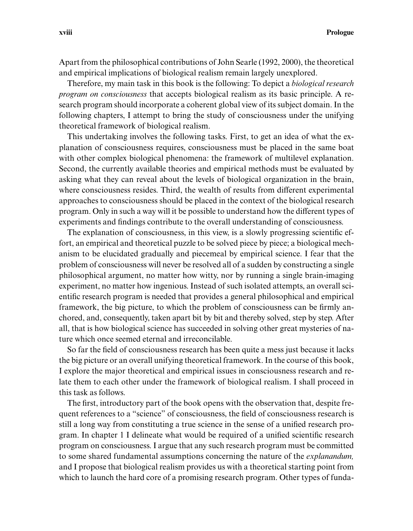Apart from the philosophical contributions of John Searle (1992, 2000), the theoretical and empirical implications of biological realism remain largely unexplored.

Therefore, my main task in this book is the following: To depict a *biological research program on consciousness* that accepts biological realism as its basic principle. A research program should incorporate a coherent global view of its subject domain. In the following chapters, I attempt to bring the study of consciousness under the unifying theoretical framework of biological realism.

This undertaking involves the following tasks. First, to get an idea of what the explanation of consciousness requires, consciousness must be placed in the same boat with other complex biological phenomena: the framework of multilevel explanation. Second, the currently available theories and empirical methods must be evaluated by asking what they can reveal about the levels of biological organization in the brain, where consciousness resides. Third, the wealth of results from different experimental approaches to consciousness should be placed in the context of the biological research program. Only in such a way will it be possible to understand how the different types of experiments and findings contribute to the overall understanding of consciousness.

The explanation of consciousness, in this view, is a slowly progressing scientific effort, an empirical and theoretical puzzle to be solved piece by piece; a biological mechanism to be elucidated gradually and piecemeal by empirical science. I fear that the problem of consciousness will never be resolved all of a sudden by constructing a single philosophical argument, no matter how witty, nor by running a single brain-imaging experiment, no matter how ingenious. Instead of such isolated attempts, an overall scientific research program is needed that provides a general philosophical and empirical framework, the big picture, to which the problem of consciousness can be firmly anchored, and, consequently, taken apart bit by bit and thereby solved, step by step. After all, that is how biological science has succeeded in solving other great mysteries of nature which once seemed eternal and irreconcilable.

So far the field of consciousness research has been quite a mess just because it lacks the big picture or an overall unifying theoretical framework. In the course of this book, I explore the major theoretical and empirical issues in consciousness research and relate them to each other under the framework of biological realism. I shall proceed in this task as follows.

The first, introductory part of the book opens with the observation that, despite frequent references to a "science" of consciousness, the field of consciousness research is still a long way from constituting a true science in the sense of a unified research program. In chapter 1 I delineate what would be required of a unified scientific research program on consciousness. I argue that any such research program must be committed to some shared fundamental assumptions concerning the nature of the *explanandum,* and I propose that biological realism provides us with a theoretical starting point from which to launch the hard core of a promising research program. Other types of funda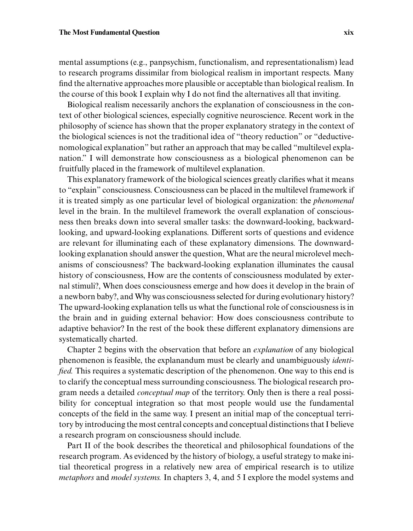mental assumptions (e.g., panpsychism, functionalism, and representationalism) lead to research programs dissimilar from biological realism in important respects. Many find the alternative approaches more plausible or acceptable than biological realism. In the course of this book I explain why I do not find the alternatives all that inviting.

Biological realism necessarily anchors the explanation of consciousness in the context of other biological sciences, especially cognitive neuroscience. Recent work in the philosophy of science has shown that the proper explanatory strategy in the context of the biological sciences is not the traditional idea of "theory reduction" or "deductivenomological explanation" but rather an approach that may be called "multilevel explanation." I will demonstrate how consciousness as a biological phenomenon can be fruitfully placed in the framework of multilevel explanation.

This explanatory framework of the biological sciences greatly clarifies what it means to "explain" consciousness. Consciousness can be placed in the multilevel framework if it is treated simply as one particular level of biological organization: the *phenomenal* level in the brain. In the multilevel framework the overall explanation of consciousness then breaks down into several smaller tasks: the downward-looking, backwardlooking, and upward-looking explanations. Different sorts of questions and evidence are relevant for illuminating each of these explanatory dimensions. The downwardlooking explanation should answer the question, What are the neural microlevel mechanisms of consciousness? The backward-looking explanation illuminates the causal history of consciousness, How are the contents of consciousness modulated by external stimuli?, When does consciousness emerge and how does it develop in the brain of a newborn baby?, and Why was consciousness selected for during evolutionary history? The upward-looking explanation tells us what the functional role of consciousness is in the brain and in guiding external behavior: How does consciousness contribute to adaptive behavior? In the rest of the book these different explanatory dimensions are systematically charted.

Chapter 2 begins with the observation that before an *explanation* of any biological phenomenon is feasible, the explanandum must be clearly and unambiguously *identified.* This requires a systematic description of the phenomenon. One way to this end is to clarify the conceptual mess surrounding consciousness. The biological research program needs a detailed *conceptual map* of the territory. Only then is there a real possibility for conceptual integration so that most people would use the fundamental concepts of the field in the same way. I present an initial map of the conceptual territory by introducing the most central concepts and conceptual distinctions that I believe a research program on consciousness should include.

Part II of the book describes the theoretical and philosophical foundations of the research program. As evidenced by the history of biology, a useful strategy to make initial theoretical progress in a relatively new area of empirical research is to utilize *metaphors* and *model systems.* In chapters 3, 4, and 5 I explore the model systems and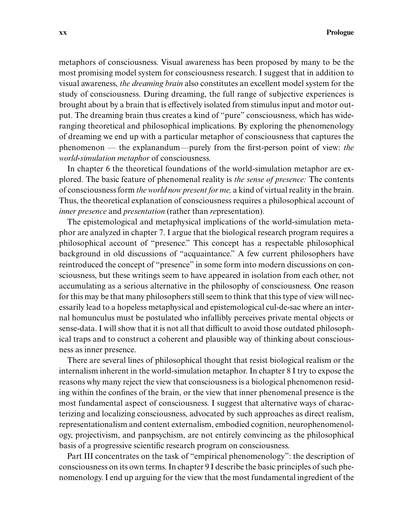metaphors of consciousness. Visual awareness has been proposed by many to be the most promising model system for consciousness research. I suggest that in addition to visual awareness, *the dreaming brain* also constitutes an excellent model system for the study of consciousness. During dreaming, the full range of subjective experiences is brought about by a brain that is effectively isolated from stimulus input and motor output. The dreaming brain thus creates a kind of "pure" consciousness, which has wideranging theoretical and philosophical implications. By exploring the phenomenology of dreaming we end up with a particular metaphor of consciousness that captures the phenomenon — the explanandum—purely from the first-person point of view: *the world-simulation metaphor* of consciousness.

In chapter 6 the theoretical foundations of the world-simulation metaphor are explored. The basic feature of phenomenal reality is *the sense of presence:* The contents of consciousness form *the world now present for me,* a kind of virtual reality in the brain. Thus, the theoretical explanation of consciousness requires a philosophical account of *inner presence* and *presentation* (rather than *re*presentation).

The epistemological and metaphysical implications of the world-simulation metaphor are analyzed in chapter 7. I argue that the biological research program requires a philosophical account of "presence." This concept has a respectable philosophical background in old discussions of "acquaintance." A few current philosophers have reintroduced the concept of "presence" in some form into modern discussions on consciousness, but these writings seem to have appeared in isolation from each other, not accumulating as a serious alternative in the philosophy of consciousness. One reason for this may be that many philosophers still seem to think that this type of view will necessarily lead to a hopeless metaphysical and epistemological cul-de-sac where an internal homunculus must be postulated who infallibly perceives private mental objects or sense-data. I will show that it is not all that difficult to avoid those outdated philosophical traps and to construct a coherent and plausible way of thinking about consciousness as inner presence.

There are several lines of philosophical thought that resist biological realism or the internalism inherent in the world-simulation metaphor. In chapter 8 I try to expose the reasons why many reject the view that consciousness is a biological phenomenon residing within the confines of the brain, or the view that inner phenomenal presence is the most fundamental aspect of consciousness. I suggest that alternative ways of characterizing and localizing consciousness, advocated by such approaches as direct realism, representationalism and content externalism, embodied cognition, neurophenomenology, projectivism, and panpsychism, are not entirely convincing as the philosophical basis of a progressive scientific research program on consciousness.

Part III concentrates on the task of "empirical phenomenology": the description of consciousness on its own terms. In chapter 9 I describe the basic principles of such phenomenology. I end up arguing for the view that the most fundamental ingredient of the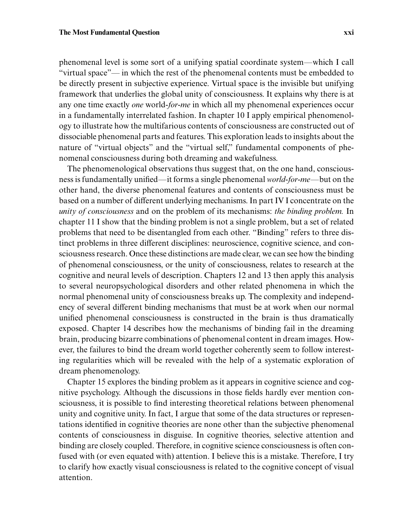phenomenal level is some sort of a unifying spatial coordinate system—which I call "virtual space"— in which the rest of the phenomenal contents must be embedded to be directly present in subjective experience. Virtual space is the invisible but unifying framework that underlies the global unity of consciousness. It explains why there is at any one time exactly *one* world-*for-me* in which all my phenomenal experiences occur in a fundamentally interrelated fashion. In chapter 10 I apply empirical phenomenology to illustrate how the multifarious contents of consciousness are constructed out of dissociable phenomenal parts and features. This exploration leads to insights about the nature of "virtual objects" and the "virtual self," fundamental components of phenomenal consciousness during both dreaming and wakefulness.

The phenomenological observations thus suggest that, on the one hand, consciousness is fundamentally unified—it forms a single phenomenal *world-for-me—*but on the other hand, the diverse phenomenal features and contents of consciousness must be based on a number of different underlying mechanisms. In part IV I concentrate on the *unity of consciousness* and on the problem of its mechanisms: *the binding problem.* In chapter 11 I show that the binding problem is not a single problem, but a set of related problems that need to be disentangled from each other. "Binding" refers to three distinct problems in three different disciplines: neuroscience, cognitive science, and consciousness research. Once these distinctions are made clear, we can see how the binding of phenomenal consciousness, or the unity of consciousness, relates to research at the cognitive and neural levels of description. Chapters 12 and 13 then apply this analysis to several neuropsychological disorders and other related phenomena in which the normal phenomenal unity of consciousness breaks up. The complexity and independency of several different binding mechanisms that must be at work when our normal unified phenomenal consciousness is constructed in the brain is thus dramatically exposed. Chapter 14 describes how the mechanisms of binding fail in the dreaming brain, producing bizarre combinations of phenomenal content in dream images. However, the failures to bind the dream world together coherently seem to follow interesting regularities which will be revealed with the help of a systematic exploration of dream phenomenology.

Chapter 15 explores the binding problem as it appears in cognitive science and cognitive psychology. Although the discussions in those fields hardly ever mention consciousness, it is possible to find interesting theoretical relations between phenomenal unity and cognitive unity. In fact, I argue that some of the data structures or representations identified in cognitive theories are none other than the subjective phenomenal contents of consciousness in disguise. In cognitive theories, selective attention and binding are closely coupled. Therefore, in cognitive science consciousness is often confused with (or even equated with) attention. I believe this is a mistake. Therefore, I try to clarify how exactly visual consciousness is related to the cognitive concept of visual attention.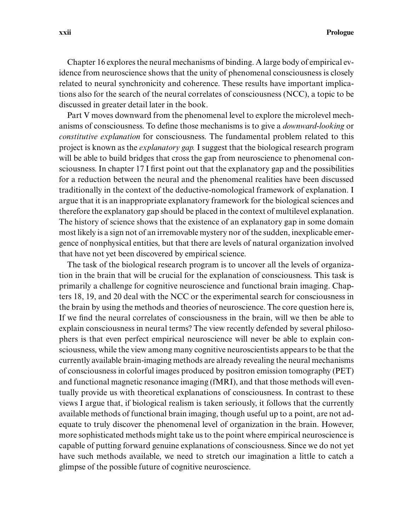Chapter 16 explores the neural mechanisms of binding. A large body of empirical evidence from neuroscience shows that the unity of phenomenal consciousness is closely related to neural synchronicity and coherence. These results have important implications also for the search of the neural correlates of consciousness (NCC), a topic to be discussed in greater detail later in the book.

Part V moves downward from the phenomenal level to explore the microlevel mechanisms of consciousness. To define those mechanisms is to give a *downward-looking* or *constitutive explanation* for consciousness. The fundamental problem related to this project is known as the *explanatory gap.* I suggest that the biological research program will be able to build bridges that cross the gap from neuroscience to phenomenal consciousness. In chapter 17 I first point out that the explanatory gap and the possibilities for a reduction between the neural and the phenomenal realities have been discussed traditionally in the context of the deductive-nomological framework of explanation. I argue that it is an inappropriate explanatory framework for the biological sciences and therefore the explanatory gap should be placed in the context of multilevel explanation. The history of science shows that the existence of an explanatory gap in some domain most likely is a sign not of an irremovable mystery nor of the sudden, inexplicable emergence of nonphysical entities, but that there are levels of natural organization involved that have not yet been discovered by empirical science.

The task of the biological research program is to uncover all the levels of organization in the brain that will be crucial for the explanation of consciousness. This task is primarily a challenge for cognitive neuroscience and functional brain imaging. Chapters 18, 19, and 20 deal with the NCC or the experimental search for consciousness in the brain by using the methods and theories of neuroscience. The core question here is, If we find the neural correlates of consciousness in the brain, will we then be able to explain consciousness in neural terms? The view recently defended by several philosophers is that even perfect empirical neuroscience will never be able to explain consciousness, while the view among many cognitive neuroscientists appears to be that the currently available brain-imaging methods are already revealing the neural mechanisms of consciousness in colorful images produced by positron emission tomography (PET) and functional magnetic resonance imaging (fMRI), and that those methods will eventually provide us with theoretical explanations of consciousness. In contrast to these views I argue that, if biological realism is taken seriously, it follows that the currently available methods of functional brain imaging, though useful up to a point, are not adequate to truly discover the phenomenal level of organization in the brain. However, more sophisticated methods might take us to the point where empirical neuroscience is capable of putting forward genuine explanations of consciousness. Since we do not yet have such methods available, we need to stretch our imagination a little to catch a glimpse of the possible future of cognitive neuroscience.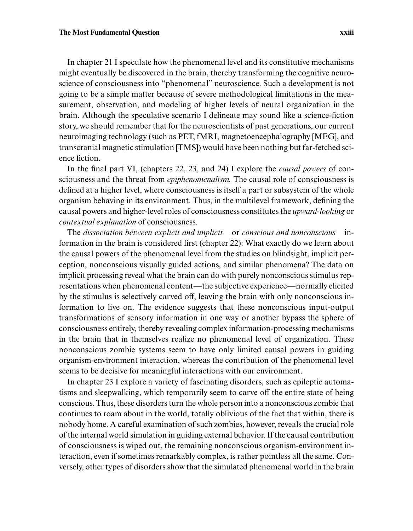In chapter 21 I speculate how the phenomenal level and its constitutive mechanisms might eventually be discovered in the brain, thereby transforming the cognitive neuroscience of consciousness into "phenomenal" neuroscience. Such a development is not going to be a simple matter because of severe methodological limitations in the measurement, observation, and modeling of higher levels of neural organization in the brain. Although the speculative scenario I delineate may sound like a science-fiction story, we should remember that for the neuroscientists of past generations, our current neuroimaging technology (such as PET, fMRI, magnetoencephalography [MEG], and transcranial magnetic stimulation [TMS]) would have been nothing but far-fetched science fiction.

In the final part VI, (chapters 22, 23, and 24) I explore the *causal powers* of consciousness and the threat from *epiphenomenalism.* The causal role of consciousness is defined at a higher level, where consciousness is itself a part or subsystem of the whole organism behaving in its environment. Thus, in the multilevel framework, defining the causal powers and higher-level roles of consciousness constitutes the *upward-looking* or *contextual explanation* of consciousness.

The *dissociation between explicit and implicit—*or *conscious and nonconscious—*information in the brain is considered first (chapter 22): What exactly do we learn about the causal powers of the phenomenal level from the studies on blindsight, implicit perception, nonconscious visually guided actions, and similar phenomena? The data on implicit processing reveal what the brain can do with purely nonconscious stimulus representations when phenomenal content—the subjective experience—normally elicited by the stimulus is selectively carved off, leaving the brain with only nonconscious information to live on. The evidence suggests that these nonconscious input-output transformations of sensory information in one way or another bypass the sphere of consciousness entirely, thereby revealing complex information-processing mechanisms in the brain that in themselves realize no phenomenal level of organization. These nonconscious zombie systems seem to have only limited causal powers in guiding organism-environment interaction, whereas the contribution of the phenomenal level seems to be decisive for meaningful interactions with our environment.

In chapter 23 I explore a variety of fascinating disorders, such as epileptic automatisms and sleepwalking, which temporarily seem to carve off the entire state of being conscious. Thus, these disorders turn the whole person into a nonconscious zombie that continues to roam about in the world, totally oblivious of the fact that within, there is nobody home. A careful examination of such zombies, however, reveals the crucial role of the internal world simulation in guiding external behavior. If the causal contribution of consciousness is wiped out, the remaining nonconscious organism-environment interaction, even if sometimes remarkably complex, is rather pointless all the same. Conversely, other types of disorders show that the simulated phenomenal world in the brain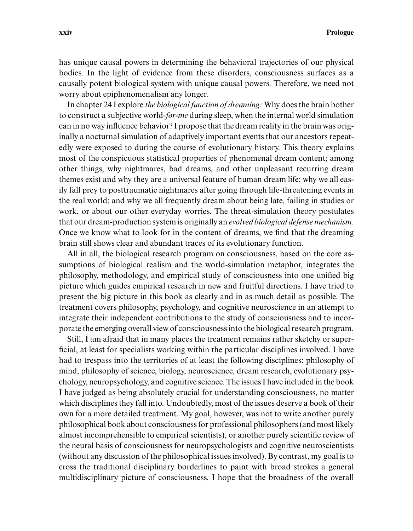## **xxiv Prologue**

has unique causal powers in determining the behavioral trajectories of our physical bodies. In the light of evidence from these disorders, consciousness surfaces as a causally potent biological system with unique causal powers. Therefore, we need not worry about epiphenomenalism any longer.

In chapter 24 I explore *the biological function of dreaming:* Why does the brain bother to construct a subjective world-*for-me* during sleep, when the internal world simulation can in no way influence behavior? I propose that the dream reality in the brain was originally a nocturnal simulation of adaptively important events that our ancestors repeatedly were exposed to during the course of evolutionary history. This theory explains most of the conspicuous statistical properties of phenomenal dream content; among other things, why nightmares, bad dreams, and other unpleasant recurring dream themes exist and why they are a universal feature of human dream life; why we all easily fall prey to posttraumatic nightmares after going through life-threatening events in the real world; and why we all frequently dream about being late, failing in studies or work, or about our other everyday worries. The threat-simulation theory postulates that our dream-production system is originally an *evolved biological defense mechanism.* Once we know what to look for in the content of dreams, we find that the dreaming brain still shows clear and abundant traces of its evolutionary function.

All in all, the biological research program on consciousness, based on the core assumptions of biological realism and the world-simulation metaphor, integrates the philosophy, methodology, and empirical study of consciousness into one unified big picture which guides empirical research in new and fruitful directions. I have tried to present the big picture in this book as clearly and in as much detail as possible. The treatment covers philosophy, psychology, and cognitive neuroscience in an attempt to integrate their independent contributions to the study of consciousness and to incorporate the emerging overall view of consciousness into the biological research program.

Still, I am afraid that in many places the treatment remains rather sketchy or superficial, at least for specialists working within the particular disciplines involved. I have had to trespass into the territories of at least the following disciplines: philosophy of mind, philosophy of science, biology, neuroscience, dream research, evolutionary psychology, neuropsychology, and cognitive science. The issues I have included in the book I have judged as being absolutely crucial for understanding consciousness, no matter which disciplines they fall into. Undoubtedly, most of the issues deserve a book of their own for a more detailed treatment. My goal, however, was not to write another purely philosophical book about consciousness for professional philosophers (and most likely almost incomprehensible to empirical scientists), or another purely scientific review of the neural basis of consciousness for neuropsychologists and cognitive neuroscientists (without any discussion of the philosophical issues involved). By contrast, my goal is to cross the traditional disciplinary borderlines to paint with broad strokes a general multidisciplinary picture of consciousness. I hope that the broadness of the overall